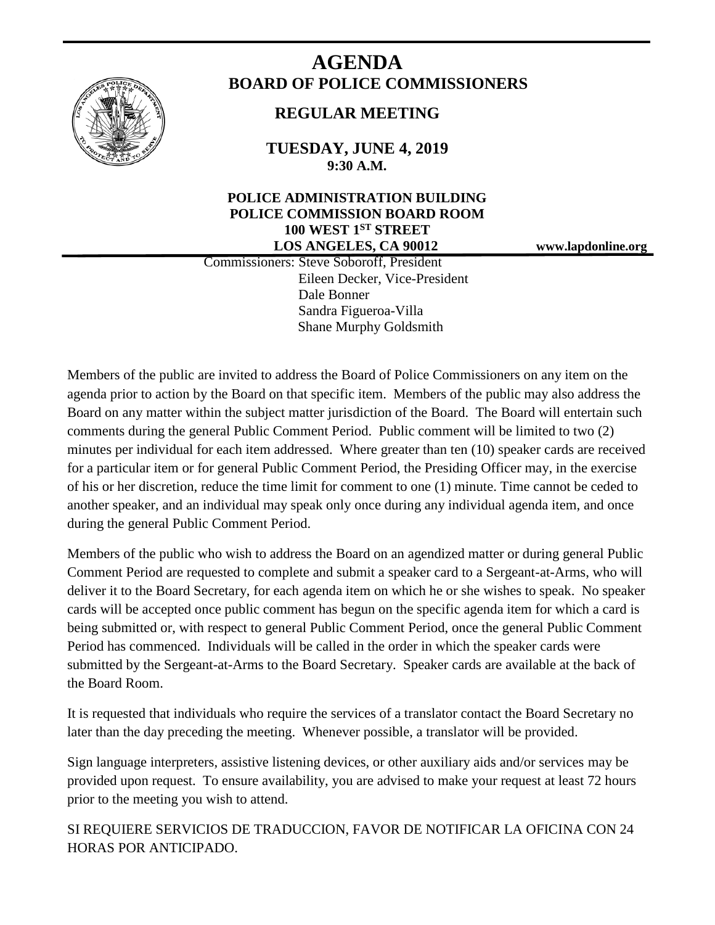

# **AGENDA BOARD OF POLICE COMMISSIONERS**

# **REGULAR MEETING**

**TUESDAY, JUNE 4, 2019 9:30 A.M.**

# **POLICE ADMINISTRATION BUILDING POLICE COMMISSION BOARD ROOM 100 WEST 1ST STREET LOS ANGELES, CA 90012 www.lapdonline.org**

 Commissioners: Steve Soboroff, President Eileen Decker, Vice-President Dale Bonner Sandra Figueroa-Villa Shane Murphy Goldsmith

Members of the public are invited to address the Board of Police Commissioners on any item on the agenda prior to action by the Board on that specific item. Members of the public may also address the Board on any matter within the subject matter jurisdiction of the Board. The Board will entertain such comments during the general Public Comment Period. Public comment will be limited to two (2) minutes per individual for each item addressed. Where greater than ten (10) speaker cards are received for a particular item or for general Public Comment Period, the Presiding Officer may, in the exercise of his or her discretion, reduce the time limit for comment to one (1) minute. Time cannot be ceded to another speaker, and an individual may speak only once during any individual agenda item, and once during the general Public Comment Period.

Members of the public who wish to address the Board on an agendized matter or during general Public Comment Period are requested to complete and submit a speaker card to a Sergeant-at-Arms, who will deliver it to the Board Secretary, for each agenda item on which he or she wishes to speak. No speaker cards will be accepted once public comment has begun on the specific agenda item for which a card is being submitted or, with respect to general Public Comment Period, once the general Public Comment Period has commenced. Individuals will be called in the order in which the speaker cards were submitted by the Sergeant-at-Arms to the Board Secretary. Speaker cards are available at the back of the Board Room.

It is requested that individuals who require the services of a translator contact the Board Secretary no later than the day preceding the meeting. Whenever possible, a translator will be provided.

Sign language interpreters, assistive listening devices, or other auxiliary aids and/or services may be provided upon request. To ensure availability, you are advised to make your request at least 72 hours prior to the meeting you wish to attend.

SI REQUIERE SERVICIOS DE TRADUCCION, FAVOR DE NOTIFICAR LA OFICINA CON 24 HORAS POR ANTICIPADO.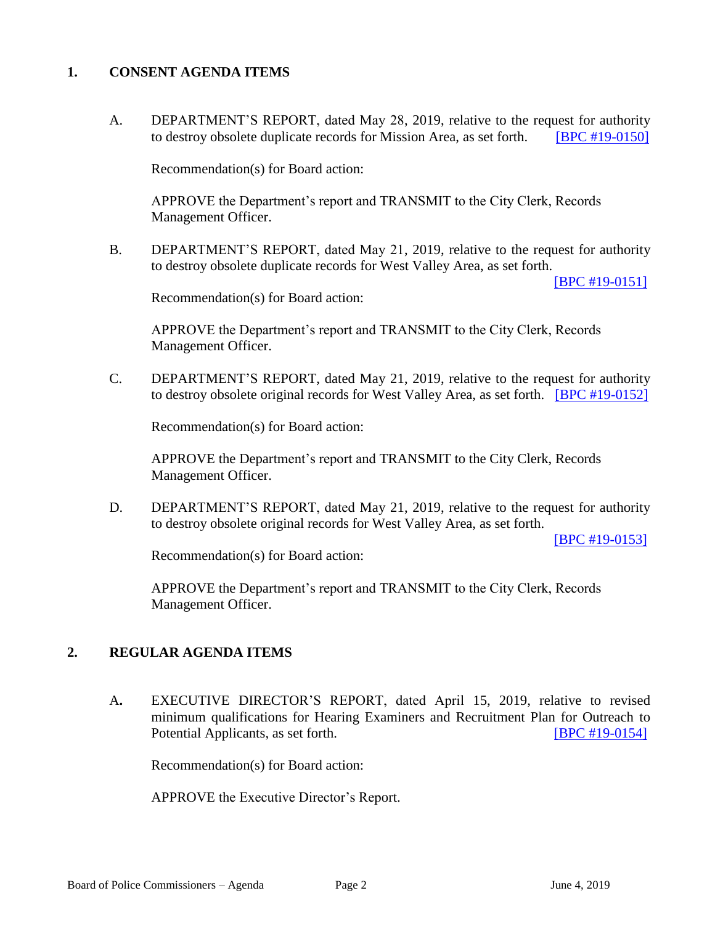### **1. CONSENT AGENDA ITEMS**

A. DEPARTMENT'S REPORT, dated May 28, 2019, relative to the request for authority to destroy obsolete duplicate records for Mission Area, as set forth. [\[BPC #19-0150\]](http://www.lapdpolicecom.lacity.org/060419/BPC_19-0150.pdf)

Recommendation(s) for Board action:

 APPROVE the Department's report and TRANSMIT to the City Clerk, Records Management Officer.

B. DEPARTMENT'S REPORT, dated May 21, 2019, relative to the request for authority to destroy obsolete duplicate records for West Valley Area, as set forth.

[\[BPC #19-0151\]](http://www.lapdpolicecom.lacity.org/060419/BPC_19-0151.pdf)

Recommendation(s) for Board action:

 APPROVE the Department's report and TRANSMIT to the City Clerk, Records Management Officer.

C. DEPARTMENT'S REPORT, dated May 21, 2019, relative to the request for authority to destroy obsolete original records for West Valley Area, as set forth. [\[BPC #19-0152\]](http://www.lapdpolicecom.lacity.org/060419/BPC_19-0152.pdf)

Recommendation(s) for Board action:

APPROVE the Department's report and TRANSMIT to the City Clerk, Records Management Officer.

D. DEPARTMENT'S REPORT, dated May 21, 2019, relative to the request for authority to destroy obsolete original records for West Valley Area, as set forth.

[\[BPC #19-0153\]](http://www.lapdpolicecom.lacity.org/060419/BPC_19-0153.pdf)

Recommendation(s) for Board action:

APPROVE the Department's report and TRANSMIT to the City Clerk, Records Management Officer.

# **2. REGULAR AGENDA ITEMS**

A**.** EXECUTIVE DIRECTOR'S REPORT, dated April 15, 2019, relative to revised minimum qualifications for Hearing Examiners and Recruitment Plan for Outreach to Potential Applicants, as set forth. **IBPC #19-0154** 

Recommendation(s) for Board action:

APPROVE the Executive Director's Report.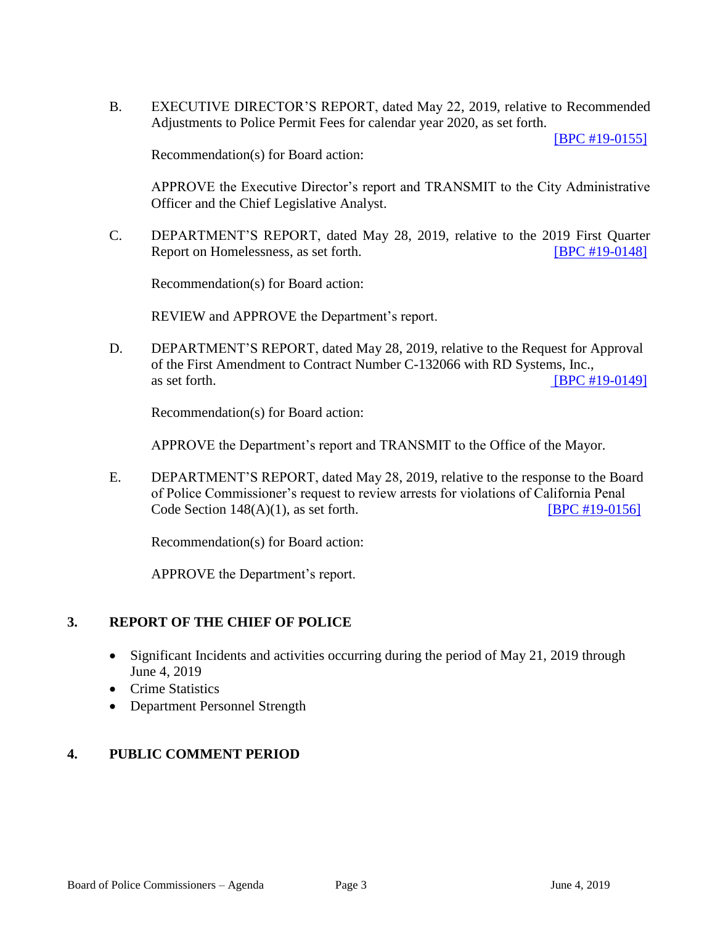B. EXECUTIVE DIRECTOR'S REPORT, dated May 22, 2019, relative to Recommended Adjustments to Police Permit Fees for calendar year 2020, as set forth.

[\[BPC #19-0155\]](http://www.lapdpolicecom.lacity.org/060419/BPC_19-0155.pdf)

Recommendation(s) for Board action:

APPROVE the Executive Director's report and TRANSMIT to the City Administrative Officer and the Chief Legislative Analyst.

C. DEPARTMENT'S REPORT, dated May 28, 2019, relative to the 2019 First Quarter Report on Homelessness, as set forth. **ISPC #19-0148** 

Recommendation(s) for Board action:

REVIEW and APPROVE the Department's report.

D. DEPARTMENT'S REPORT, dated May 28, 2019, relative to the Request for Approval of the First Amendment to Contract Number C-132066 with RD Systems, Inc., as set forth. **IBPC #19-0149** 

Recommendation(s) for Board action:

APPROVE the Department's report and TRANSMIT to the Office of the Mayor.

E. DEPARTMENT'S REPORT, dated May 28, 2019, relative to the response to the Board of Police Commissioner's request to review arrests for violations of California Penal Code Section  $148(A)(1)$ , as set forth. [\[BPC #19-0156\]](http://www.lapdpolicecom.lacity.org/060419/BPC_19-0156.pdf)

Recommendation(s) for Board action:

APPROVE the Department's report.

#### **3. REPORT OF THE CHIEF OF POLICE**

- Significant Incidents and activities occurring during the period of May 21, 2019 through June 4, 2019
- Crime Statistics
- Department Personnel Strength

### **4. PUBLIC COMMENT PERIOD**